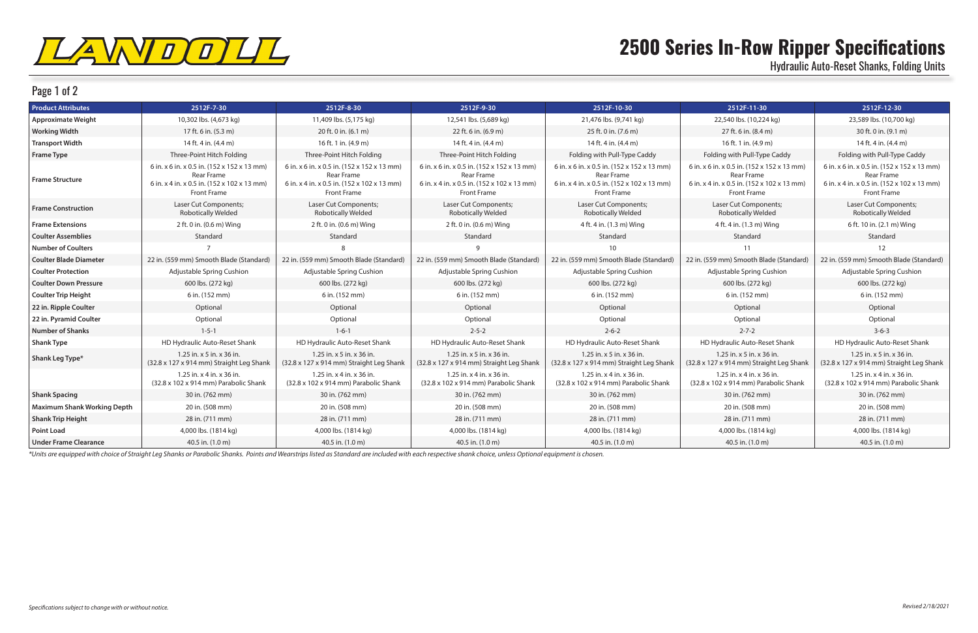

## Page 1 of 2

## **2500 Series In-Row Ripper Specifications**

Hydraulic Auto-Reset Shanks, Folding Units

*\*Units are equipped with choice of Straight Leg Shanks or Parabolic Shanks. Points and Wearstrips listed as Standard are included with each respective shank choice, unless Optional equipment is chosen.*

| <b>Product Attributes</b>          | 2512F-7-30                                                                                                                     | 2512F-8-30                                                                                                              | 2512F-9-30                                                                                                              | 2512F-10-30                                                                                                                    | 2512F-11-30                                                                                                             | 2512F-12-30                                                                                                             |
|------------------------------------|--------------------------------------------------------------------------------------------------------------------------------|-------------------------------------------------------------------------------------------------------------------------|-------------------------------------------------------------------------------------------------------------------------|--------------------------------------------------------------------------------------------------------------------------------|-------------------------------------------------------------------------------------------------------------------------|-------------------------------------------------------------------------------------------------------------------------|
| <b>Approximate Weight</b>          | 10,302 lbs. (4,673 kg)                                                                                                         | 11,409 lbs. (5,175 kg)                                                                                                  | 12,541 lbs. (5,689 kg)                                                                                                  | 21,476 lbs. (9,741 kg)                                                                                                         | 22,540 lbs. (10,224 kg)                                                                                                 | 23,589 lbs. (10,700 kg)                                                                                                 |
| <b>Working Width</b>               | 17 ft. 6 in. (5.3 m)                                                                                                           | 20 ft. 0 in. (6.1 m)                                                                                                    | 22 ft. 6 in. (6.9 m)                                                                                                    | 25 ft. 0 in. (7.6 m)                                                                                                           | 27 ft. 6 in. (8.4 m)                                                                                                    | 30 ft. 0 in. (9.1 m)                                                                                                    |
| <b>Transport Width</b>             | 14 ft. 4 in. (4.4 m)                                                                                                           | 16 ft. 1 in. (4.9 m)                                                                                                    | 14 ft. 4 in. (4.4 m)                                                                                                    | 14 ft. 4 in. (4.4 m)                                                                                                           | 16 ft. 1 in. (4.9 m)                                                                                                    | 14 ft. 4 in. (4.4 m)                                                                                                    |
| <b>Frame Type</b>                  | Three-Point Hitch Folding                                                                                                      | Three-Point Hitch Folding                                                                                               | Three-Point Hitch Folding                                                                                               | Folding with Pull-Type Caddy                                                                                                   | Folding with Pull-Type Caddy                                                                                            | Folding with Pull-Type Caddy                                                                                            |
| <b>Frame Structure</b>             | 6 in. x 6 in. x 0.5 in. (152 x 152 x 13 mm)<br>Rear Frame<br>6 in. x 4 in. x 0.5 in. (152 x 102 x 13 mm)<br><b>Front Frame</b> | 6 in. x 6 in. x 0.5 in. (152 x 152 x 13 mm)<br>Rear Frame<br>6 in. x 4 in. x 0.5 in. (152 x 102 x 13 mm)<br>Front Frame | 6 in. x 6 in. x 0.5 in. (152 x 152 x 13 mm)<br>Rear Frame<br>6 in. x 4 in. x 0.5 in. (152 x 102 x 13 mm)<br>Front Frame | 6 in. x 6 in. x 0.5 in. (152 x 152 x 13 mm)<br><b>Rear Frame</b><br>6 in. x 4 in. x 0.5 in. (152 x 102 x 13 mm)<br>Front Frame | 6 in. x 6 in. x 0.5 in. (152 x 152 x 13 mm)<br>Rear Frame<br>6 in. x 4 in. x 0.5 in. (152 x 102 x 13 mm)<br>Front Frame | 6 in. x 6 in. x 0.5 in. (152 x 152 x 13 mm)<br>Rear Frame<br>6 in. x 4 in. x 0.5 in. (152 x 102 x 13 mm)<br>Front Frame |
| <b>Frame Construction</b>          | Laser Cut Components;<br><b>Robotically Welded</b>                                                                             | Laser Cut Components;<br><b>Robotically Welded</b>                                                                      | Laser Cut Components;<br><b>Robotically Welded</b>                                                                      | Laser Cut Components;<br><b>Robotically Welded</b>                                                                             | Laser Cut Components;<br><b>Robotically Welded</b>                                                                      | Laser Cut Components;<br><b>Robotically Welded</b>                                                                      |
| <b>Frame Extensions</b>            | 2 ft. 0 in. (0.6 m) Wing                                                                                                       | 2 ft. 0 in. (0.6 m) Wing                                                                                                | 2 ft. 0 in. (0.6 m) Wing                                                                                                | 4 ft. 4 in. (1.3 m) Wing                                                                                                       | 4 ft. 4 in. (1.3 m) Wing                                                                                                | 6 ft. 10 in. (2.1 m) Wing                                                                                               |
| <b>Coulter Assemblies</b>          | Standard                                                                                                                       | Standard                                                                                                                | Standard                                                                                                                | Standard                                                                                                                       | Standard                                                                                                                | Standard                                                                                                                |
| <b>Number of Coulters</b>          |                                                                                                                                |                                                                                                                         |                                                                                                                         | 10                                                                                                                             | 11                                                                                                                      | 12                                                                                                                      |
| <b>Coulter Blade Diameter</b>      | 22 in. (559 mm) Smooth Blade (Standard)                                                                                        | 22 in. (559 mm) Smooth Blade (Standard)                                                                                 | 22 in. (559 mm) Smooth Blade (Standard)                                                                                 | 22 in. (559 mm) Smooth Blade (Standard)                                                                                        | 22 in. (559 mm) Smooth Blade (Standard)                                                                                 | 22 in. (559 mm) Smooth Blade (Standard)                                                                                 |
| <b>Coulter Protection</b>          | Adjustable Spring Cushion                                                                                                      | Adjustable Spring Cushion                                                                                               | Adjustable Spring Cushion                                                                                               | Adjustable Spring Cushion                                                                                                      | Adjustable Spring Cushion                                                                                               | Adjustable Spring Cushion                                                                                               |
| <b>Coulter Down Pressure</b>       | 600 lbs. (272 kg)                                                                                                              | 600 lbs. (272 kg)                                                                                                       | 600 lbs. (272 kg)                                                                                                       | 600 lbs. (272 kg)                                                                                                              | 600 lbs. (272 kg)                                                                                                       | 600 lbs. (272 kg)                                                                                                       |
| <b>Coulter Trip Height</b>         | 6 in. (152 mm)                                                                                                                 | 6 in. (152 mm)                                                                                                          | 6 in. (152 mm)                                                                                                          | 6 in. (152 mm)                                                                                                                 | 6 in. (152 mm)                                                                                                          | 6 in. (152 mm)                                                                                                          |
| 22 in. Ripple Coulter              | Optional                                                                                                                       | Optional                                                                                                                | Optional                                                                                                                | Optional                                                                                                                       | Optional                                                                                                                | Optional                                                                                                                |
| 22 in. Pyramid Coulter             | Optional                                                                                                                       | Optional                                                                                                                | Optional                                                                                                                | Optional                                                                                                                       | Optional                                                                                                                | Optional                                                                                                                |
| <b>Number of Shanks</b>            | $1 - 5 - 1$                                                                                                                    | $1 - 6 - 1$                                                                                                             | $2 - 5 - 2$                                                                                                             | $2 - 6 - 2$                                                                                                                    | $2 - 7 - 2$                                                                                                             | $3 - 6 - 3$                                                                                                             |
| <b>Shank Type</b>                  | HD Hydraulic Auto-Reset Shank                                                                                                  | HD Hydraulic Auto-Reset Shank                                                                                           | HD Hydraulic Auto-Reset Shank                                                                                           | HD Hydraulic Auto-Reset Shank                                                                                                  | HD Hydraulic Auto-Reset Shank                                                                                           | HD Hydraulic Auto-Reset Shank                                                                                           |
| Shank Leg Type*                    | $1.25$ in. x 5 in. x 36 in.<br>(32.8 x 127 x 914 mm) Straight Leg Shank                                                        | $1.25$ in. x 5 in. x 36 in.<br>(32.8 x 127 x 914 mm) Straight Leg Shank                                                 | $1.25$ in. x 5 in. x 36 in.<br>(32.8 x 127 x 914 mm) Straight Leg Shank                                                 | $1.25$ in. x 5 in. x 36 in.<br>(32.8 x 127 x 914 mm) Straight Leg Shank                                                        | 1.25 in. $x$ 5 in. $x$ 36 in.<br>(32.8 x 127 x 914 mm) Straight Leg Shank                                               | $1.25$ in. x 5 in. x 36 in.<br>(32.8 x 127 x 914 mm) Straight Leg Shank                                                 |
|                                    | 1.25 in. $\times$ 4 in. $\times$ 36 in.<br>(32.8 x 102 x 914 mm) Parabolic Shank                                               | 1.25 in. $\times$ 4 in. $\times$ 36 in.<br>(32.8 x 102 x 914 mm) Parabolic Shank                                        | 1.25 in. $x$ 4 in. $x$ 36 in.<br>(32.8 x 102 x 914 mm) Parabolic Shank                                                  | $1.25$ in. x 4 in. x 36 in.<br>(32.8 x 102 x 914 mm) Parabolic Shank                                                           | $1.25$ in. x 4 in. x 36 in.<br>(32.8 x 102 x 914 mm) Parabolic Shank                                                    | $1.25$ in. x 4 in. x 36 in.<br>(32.8 x 102 x 914 mm) Parabolic Shank                                                    |
| <b>Shank Spacing</b>               | 30 in. (762 mm)                                                                                                                | 30 in. (762 mm)                                                                                                         | 30 in. (762 mm)                                                                                                         | 30 in. (762 mm)                                                                                                                | 30 in. (762 mm)                                                                                                         | 30 in. (762 mm)                                                                                                         |
| <b>Maximum Shank Working Depth</b> | 20 in. (508 mm)                                                                                                                | 20 in. (508 mm)                                                                                                         | 20 in. (508 mm)                                                                                                         | 20 in. (508 mm)                                                                                                                | 20 in. (508 mm)                                                                                                         | 20 in. (508 mm)                                                                                                         |
| <b>Shank Trip Height</b>           | 28 in. (711 mm)                                                                                                                | 28 in. (711 mm)                                                                                                         | 28 in. (711 mm)                                                                                                         | 28 in. (711 mm)                                                                                                                | 28 in. (711 mm)                                                                                                         | 28 in. (711 mm)                                                                                                         |
| <b>Point Load</b>                  | 4,000 lbs. (1814 kg)                                                                                                           | 4,000 lbs. (1814 kg)                                                                                                    | 4,000 lbs. (1814 kg)                                                                                                    | 4,000 lbs. (1814 kg)                                                                                                           | 4,000 lbs. (1814 kg)                                                                                                    | 4,000 lbs. (1814 kg)                                                                                                    |
| <b>Under Frame Clearance</b>       | 40.5 in. (1.0 m)                                                                                                               | 40.5 in. (1.0 m)                                                                                                        | 40.5 in. (1.0 m)                                                                                                        | 40.5 in. (1.0 m)                                                                                                               | 40.5 in. (1.0 m)                                                                                                        | 40.5 in. (1.0 m)                                                                                                        |